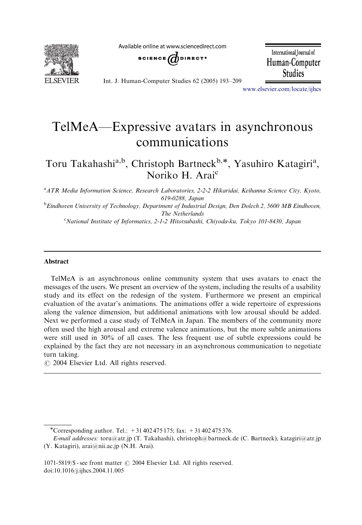Available online at www.sciencedirect.com



SCIENCE  $\bigcirc$  DIRECT<sup>o</sup>

International Journal of Human-Computer **Studies** 

Int. J. Human-Computer Studies 62 (2005) 193–209

www.elsevier.com/locate/ijhcs

# TelMeA—Expressive avatars in asynchronous communications

Toru Takahashi<sup>a,b</sup>, Christoph Bartneck<sup>b,\*</sup>, Yasuhiro Katagiri<sup>a</sup>, Noriko H. Araic

<sup>a</sup> ATR Media Information Science, Research Laboratories, 2-2-2 Hikaridai, Keihanna Science City, Kyoto, 619-0288, Japan

<sup>b</sup> Eindhoven University of Technology, Department of Industrial Design, Den Dolech 2, 5600 MB Eindhoven, The Netherlands

<sup>c</sup>National Institute of Informatics, 2-1-2 Hitotsubashi, Chiyoda-ku, Tokyo 101-8430, Japan

## Abstract

TelMeA is an asynchronous online community system that uses avatars to enact the messages of the users. We present an overview of the system, including the results of a usability study and its effect on the redesign of the system. Furthermore we present an empirical evaluation of the avatar's animations. The animations offer a wide repertoire of expressions along the valence dimension, but additional animations with low arousal should be added. Next we performed a case study of TelMeA in Japan. The members of the community more often used the high arousal and extreme valence animations, but the more subtle animations were still used in 30% of all cases. The less frequent use of subtle expressions could be explained by the fact they are not necessary in an asynchronous communication to negotiate turn taking.

 $\odot$  2004 Elsevier Ltd. All rights reserved.

 $1071-5819$ /\$ - see front matter  $\odot$  2004 Elsevier Ltd. All rights reserved. doi:10.1016/j.ijhcs.2004.11.005

<sup>\*</sup>Corresponding author. Tel.:  $+31402475175$ ; fax:  $+31402475376$ .

E-mail addresses: toru@atr.jp (T. Takahashi), christoph@bartneck.de (C. Bartneck), katagiri@atr.jp (Y. Katagiri), arai@nii.ac.jp (N.H. Arai).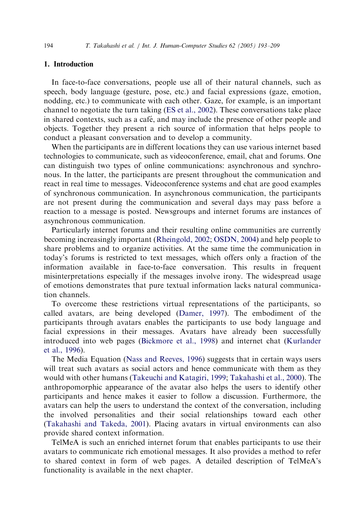## 1. Introduction

In face-to-face conversations, people use all of their natural channels, such as speech, body language (gesture, pos[e, etc.\) and fa](#page-16-0)cial expressions (gaze, emotion, nodding, etc.) to communicate with each other. Gaze, for example, is an important channel to negotiate the turn taking (ES et al., 2002). These conversations take place in shared contexts, such as a café, and may include the presence of other people and objects. Together they present a rich source of information that helps people to conduct a pleasant conversation and to develop a community.

When the participants are in different locations they can use various internet based technologies to communicate, such as videoconference, email, chat and forums. One can distinguish two types of online communications: asynchronous and synchronous. In the latter, the participants are present throughout the communication and react in real time to messages. Videoconference systems and chat are good examples of synchronous communication. In asynchronous communication, the participants are not present during the communication and several days may pass before a reaction to a message is posted. Newsgroups and internet forums are instances of asynchronous communication.

Particularly internet forums and their resulting online communities are currently becoming increasingly important (Rheingold, 2002; OSDN, 2004) and help people to share problems and to organize activities. At the same time the communication in today's forums is restricted to text messages, which offers only a fraction of the information available in face-to-face conversation. This results in frequent misinterpretations especially if the messages involve irony. The widespread usage of emotions demonstrates that pure textual information lacks natural communication channels.

To overcome these restrictions virtual representations of the participants, so called avatars, are being developed (Damer, 1997). The embodiment of the participants through avatars [enables the participa](#page-15-0)nts to use body lan[guage and](#page-16-0) [facial expr](#page-16-0)essions in their messages. Avatars have already been successfully introduced into web pa[ges \(Bickmore et al., 1](#page-16-0)998) and internet chat (Kurlander et al., 1996).

The Media Equation ([Nass and Reeves, 1996\) suggests that in certain ways](#page-16-0) users will treat such avatars as social actors and hence communicate with them as they would with other humans (Takeuchi and Katagiri, 1999; Takahashi et al., 2000). The anthropomorphic appearance of the avatar also helps the users to identify other participants and hence makes it easier to follow a discussion. Furthermore, the [avatars can help the users to u](#page-16-0)nderstand the context of the conversation, including the involved personalities and their social relationships toward each other (Takahashi and Takeda, 2001). Placing avatars in virtual environments can also provide shared context information.

TelMeA is such an enriched internet forum that enables participants to use their avatars to communicate rich emotional messages. It also provides a method to refer to shared context in form of web pages. A detailed description of TelMeA's functionality is available in the next chapter.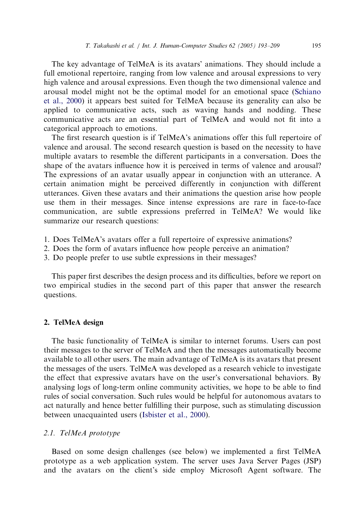The key advantage of TelMeA is its avatars' animations. They should include a full emotional repertoire, ranging from low valence and arousal expression[s to very](#page-16-0) [high valence](#page-16-0) and arousal expressions. Even though the two dimensional valence and arousal model might not be the optimal model for an emotional space (Schiano et al., 2000) it appears best suited for TelMeA because its generality can also be applied to communicative acts, such as waving hands and nodding. These communicative acts are an essential part of TelMeA and would not fit into a categorical approach to emotions.

The first research question is if TelMeA's animations offer this full repertoire of valence and arousal. The second research question is based on the necessity to have multiple avatars to resemble the different participants in a conversation. Does the shape of the avatars influence how it is perceived in terms of valence and arousal? The expressions of an avatar usually appear in conjunction with an utterance. A certain animation might be perceived differently in conjunction with different utterances. Given these avatars and their animations the question arise how people use them in their messages. Since intense expressions are rare in face-to-face communication, are subtle expressions preferred in TelMeA? We would like summarize our research questions:

- 1. Does TelMeA's avatars offer a full repertoire of expressive animations?
- 2. Does the form of avatars influence how people perceive an animation?
- 3. Do people prefer to use subtle expressions in their messages?

This paper first describes the design process and its difficulties, before we report on two empirical studies in the second part of this paper that answer the research questions.

## 2. TelMeA design

The basic functionality of TelMeA is similar to internet forums. Users can post their messages to the server of TelMeA and then the messages automatically become available to all other users. The main advantage of TelMeA is its avatars that present the messages of the users. TelMeA was developed as a research vehicle to investigate the effect that expressive avatars have on the user's conversational behaviors. By analysing logs of long-term online community activities, we hope to be able to find rules of social conversation. [Such rules would be](#page-16-0) helpful for autonomous avatars to act naturally and hence better fulfilling their purpose, such as stimulating discussion between unacquainted users (Isbister et al., 2000).

# 2.1. TelMeA prototype

Based on some design challenges (see below) we implemented a first TelMeA prototype as a web application system. The server uses Java Server Pages (JSP) and the avatars on the client's side employ Microsoft Agent software. The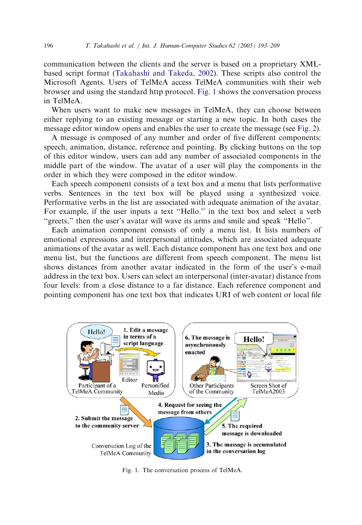communication between the clients and the server is based on a proprietary XMLbased script format (Takahashi and Takeda, 2002). These scripts also control the Microsoft Agents. Users of TelMeA access TelMeA communities with their web browser and using the standard http protocol. Fig. 1 shows the conversation process in TelMeA.

When users want to make new messages in TelMeA, they can choose [betwee](#page-4-0)n either replying to an existing message or starting a new topic. In both cases the message editor window opens and enables the user to create the message (see Fig. 2).

A message is composed of any number and order of five different components: speech, animation, distance, reference and pointing. By clicking buttons on the top of this editor window, users can add any number of associated components in the middle part of the window. The avatar of a user will play the components in the order in which they were composed in the editor window.

Each speech component consists of a text box and a menu that lists performative verbs. Sentences in the text box will be played using a synthesized voice. Performative verbs in the list are associated with adequate animation of the avatar. For example, if the user inputs a text "Hello." in the text box and select a verb "greets," then the user's avatar will wave its arms and smile and speak "Hello".

Each animation component consists of only a menu list. It lists numbers of emotional expressions and interpersonal attitudes, which are associated adequate animations of the avatar as well. Each distance component has one text box and one menu list, but the functions are different from speech component. The menu list shows distances from another avatar indicated in the form of the user's e-mail address in the text box. Users can select an interpersonal (inter-avatar) distance from four levels: from a close distance to a far distance. Each reference component and pointing component has one text box that indicates URI of web content or local file



Fig. 1. The conversation process of TelMeA.

<span id="page-3-0"></span>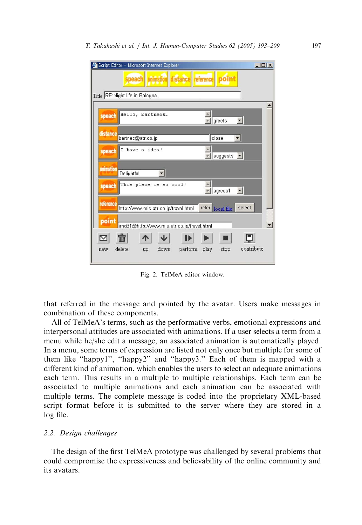<span id="page-4-0"></span>

|           | Script Editor - Microsoft Internet Explorer                         | $ \Box$ $\times$ |
|-----------|---------------------------------------------------------------------|------------------|
|           | speach animation distance reference point                           |                  |
|           | Title RE: Night life in Bologna.                                    |                  |
| speach    | Hello, bartneck.<br>greets                                          |                  |
| distance  | bartnec@atr.co.jp<br>close                                          |                  |
| speach    | I have a idea!<br>suggests <b>-</b>                                 |                  |
| animation | Delightful                                                          |                  |
| speach    | This place is so cool!<br>agrees1                                   |                  |
| reference | select<br>http://www.mis.atr.co.jp/travel.html<br>refer local file: |                  |
| point     | img61@http://www.mis.atr.co.jp/travel.html                          |                  |
| new       | contribute<br>delete<br>perform<br>play<br>down<br>stop<br>up       |                  |

Fig. 2. TelMeA editor window.

that referred in the message and pointed by the avatar. Users make messages in combination of these components.

All of TelMeA's terms, such as the performative verbs, emotional expressions and interpersonal attitudes are associated with animations. If a user selects a term from a menu while he/she edit a message, an associated animation is automatically played. In a menu, some terms of expression are listed not only once but multiple for some of them like ''happy1'', ''happy2'' and ''happy3.'' Each of them is mapped with a different kind of animation, which enables the users to select an adequate animations each term. This results in a multiple to multiple relationships. Each term can be associated to multiple animations and each animation can be associated with multiple terms. The complete message is coded into the proprietary XML-based script format before it is submitted to the server where they are stored in a log file.

## 2.2. Design challenges

The design of the first TelMeA prototype was challenged by several problems that could compromise the expressiveness and believability of the online community and its avatars.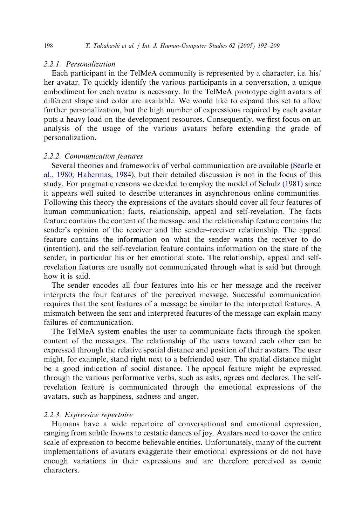# 2.2.1. Personalization

Each participant in the TelMeA community is represented by a character, i.e. his/ her avatar. To quickly identify the various participants in a conversation, a unique embodiment for each avatar is necessary. In the TelMeA prototype eight avatars of different shape and color are available. We would like to expand this set to allow further personalization, but the high number of expressions required by each avatar puts a heavy load on the development resources. Consequently, we first focus on an analysis of the usage of the various avatars before extending the grade of personalization.

## [2.2.2. Communication featu](#page-16-0)res

Several theories and frameworks of verbal communication are [available \(Sea](#page-16-0)rle et al., 1980; Habermas, 1984), but their detailed discussion is not in the focus of this study. For pragmatic reasons we decided to employ the model of Schulz (1981) since it appears well suited to describe utterances in asynchronous online communities. Following this theory the expressions of the avatars should cover all four features of human communication: facts, relationship, appeal and self-revelation. The facts feature contains the content of the message and the relationship feature contains the sender's opinion of the receiver and the sender–receiver relationship. The appeal feature contains the information on what the sender wants the receiver to do (intention), and the self-revelation feature contains information on the state of the sender, in particular his or her emotional state. The relationship, appeal and selfrevelation features are usually not communicated through what is said but through how it is said.

The sender encodes all four features into his or her message and the receiver interprets the four features of the perceived message. Successful communication requires that the sent features of a message be similar to the interpreted features. A mismatch between the sent and interpreted features of the message can explain many failures of communication.

The TelMeA system enables the user to communicate facts through the spoken content of the messages. The relationship of the users toward each other can be expressed through the relative spatial distance and position of their avatars. The user might, for example, stand right next to a befriended user. The spatial distance might be a good indication of social distance. The appeal feature might be expressed through the various performative verbs, such as asks, agrees and declares. The selfrevelation feature is communicated through the emotional expressions of the avatars, such as happiness, sadness and anger.

## 2.2.3. Expressive repertoire

Humans have a wide repertoire of conversational and emotional expression, ranging from subtle frowns to ecstatic dances of joy. Avatars need to cover the entire scale of expression to become believable entities. Unfortunately, many of the current implementations of avatars exaggerate their emotional expressions or do not have enough variations in their expressions and are therefore perceived as comic characters.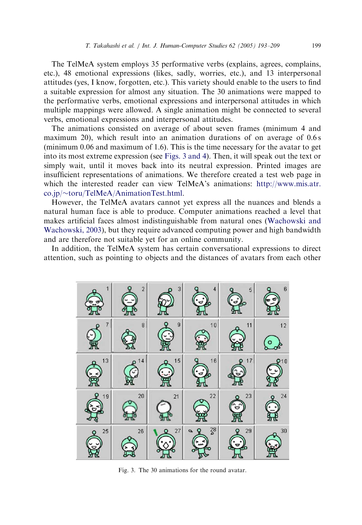<span id="page-6-0"></span>The TelMeA system employs 35 performative verbs (explains, agrees, complains, etc.), 48 emotional expressions (likes, sadly, worries, etc.), and 13 interpersonal attitudes (yes, I know, forgotten, etc.). This variety should enable to the users to find a suitable expression for almost any situation. The 30 animations were mapped to the performative verbs, emotional expressions and interpersonal attitudes in which multiple mappings were allowed. A single animation might be connected to several verbs, emotional expressions and interpersonal attitudes.

The animations consisted on average of about seven frames (minimum 4 and maximum 20), which result into an animation durations of on average of 0.6 s (minimum 0.06 and maximum of 1.6). This is the time necessary for the avatar to get into its most extreme expression (see Figs. 3 and 4). Then, it will speak out the text or simply wait, until it moves back into its neutral expression. [Printed images are](http://www.mis.atr.co.jp/~toru/TelMeA/AnimationTest.html) [insuffi](http://www.mis.atr.co.jp/~toru/TelMeA/AnimationTest.html)c[ient representations of animations.](http://www.mis.atr.co.jp/~toru/TelMeA/AnimationTest.html) We therefore created a test web page in which the interested reader can view TelMeA's animations: http://www.mis.atr.  $co.ip/\sim$ toru/TelMeA/AnimationTest.html.

However, the TelMeA avatars cannot yet express all the nuan[ces and blends a](#page-16-0) [natural human fa](#page-16-0)ce is able to produce. Computer animations reached a level that makes artificial faces almost indistinguishable from natural ones (Wachowski and Wachowski, 2003), but they require advanced computing power and high bandwidth and are therefore not suitable yet for an online community.

In addition, the TelMeA system has certain conversational expressions to direct attention, such as pointing to objects and the distances of avatars from each other



Fig. 3. The 30 animations for the round avatar.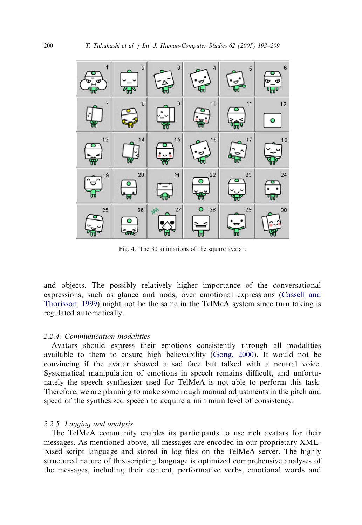

Fig. 4. The 30 animations of the square avatar.

[and objects. Th](#page-16-0)e possibly relatively higher importance of the conversational expressions, such as glance and nods, over emotional expressions (Cassell and Thorisson, 1999) might not be the same in the TelMeA system since turn taking is regulated automatically.

# 2.2.4. Communication modalities

Avatars should express their emotions consistently through all modalities available to them to ensure high believability (Gong, 2000). It would not be convincing if the avatar showed a sad face but talked with a neutral voice. Systematical manipulation of emotions in speech remains difficult, and unfortunately the speech synthesizer used for TelMeA is not able to perform this task. Therefore, we are planning to make some rough manual adjustments in the pitch and speed of the synthesized speech to acquire a minimum level of consistency.

# 2.2.5. Logging and analysis

The TelMeA community enables its participants to use rich avatars for their messages. As mentioned above, all messages are encoded in our proprietary XMLbased script language and stored in log files on the TelMeA server. The highly structured nature of this scripting language is optimized comprehensive analyses of the messages, including their content, performative verbs, emotional words and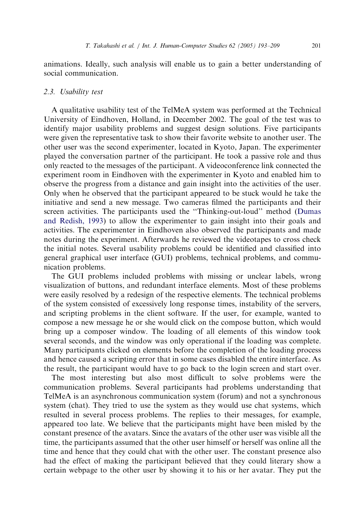animations. Ideally, such analysis will enable us to gain a better understanding of social communication.

#### 2.3. Usability test

A qualitative usability test of the TelMeA system was performed at the Technical University of Eindhoven, Holland, in December 2002. The goal of the test was to identify major usability problems and suggest design solutions. Five participants were given the representative task to show their favorite website to another user. The other user was the second experimenter, located in Kyoto, Japan. The experimenter played the conversation partner of the participant. He took a passive role and thus only reacted to the messages of the participant. A videoconference link connected the experiment room in Eindhoven with the experimenter in Kyoto and enabled him to observe the progress from a distance and gain insight into the activities of the user. Only when he observed that the participant appeared to be stuck would he t[ake the](#page-16-0) [initiative and send](#page-16-0) a new message. Two cameras filmed the participants and their screen activities. The participants used the ''Thinking-out-loud'' method (Dumas and Redish, 1993) to allow the experimenter to gain insight into their goals and activities. The experimenter in Eindhoven also observed the participants and made notes during the experiment. Afterwards he reviewed the videotapes to cross check the initial notes. Several usability problems could be identified and classified into general graphical user interface (GUI) problems, technical problems, and communication problems.

The GUI problems included problems with missing or unclear labels, wrong visualization of buttons, and redundant interface elements. Most of these problems were easily resolved by a redesign of the respective elements. The technical problems of the system consisted of excessively long response times, instability of the servers, and scripting problems in the client software. If the user, for example, wanted to compose a new message he or she would click on the compose button, which would bring up a composer window. The loading of all elements of this window took several seconds, and the window was only operational if the loading was complete. Many participants clicked on elements before the completion of the loading process and hence caused a scripting error that in some cases disabled the entire interface. As the result, the participant would have to go back to the login screen and start over.

The most interesting but also most difficult to solve problems were the communication problems. Several participants had problems understanding that TelMeA is an asynchronous communication system (forum) and not a synchronous system (chat). They tried to use the system as they would use chat systems, which resulted in several process problems. The replies to their messages, for example, appeared too late. We believe that the participants might have been misled by the constant presence of the avatars. Since the avatars of the other user was visible all the time, the participants assumed that the other user himself or herself was online all the time and hence that they could chat with the other user. The constant presence also had the effect of making the participant believed that they could literary show a certain webpage to the other user by showing it to his or her avatar. They put the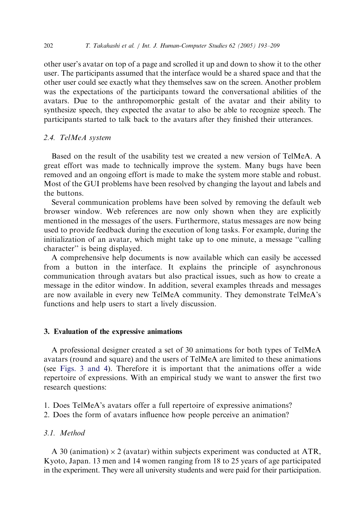other user's avatar on top of a page and scrolled it up and down to show it to the other user. The participants assumed that the interface would be a shared space and that the other user could see exactly what they themselves saw on the screen. Another problem was the expectations of the participants toward the conversational abilities of the avatars. Due to the anthropomorphic gestalt of the avatar and their ability to synthesize speech, they expected the avatar to also be able to recognize speech. The participants started to talk back to the avatars after they finished their utterances.

## 2.4. TelMeA system

Based on the result of the usability test we created a new version of TelMeA. A great effort was made to technically improve the system. Many bugs have been removed and an ongoing effort is made to make the system more stable and robust. Most of the GUI problems have been resolved by changing the layout and labels and the buttons.

Several communication problems have been solved by removing the default web browser window. Web references are now only shown when they are explicitly mentioned in the messages of the users. Furthermore, status messages are now being used to provide feedback during the execution of long tasks. For example, during the initialization of an avatar, which might take up to one minute, a message ''calling character'' is being displayed.

A comprehensive help documents is now available which can easily be accessed from a button in the interface. It explains the principle of asynchronous communication through avatars but also practical issues, such as how to create a message in the editor window. In addition, several examples threads and messages are now available in every new TelMeA community. They demonstrate TelMeA's functions and help users to start a lively discussion.

# 3. Evaluation of the expressive animations

A [professional de](#page-6-0)signer created a set of 30 animations for both types of TelMeA avatars (round and square) and the users of TelMeA are limited to these animations (see Figs. 3 and 4). Therefore it is important that the animations offer a wide repertoire of expressions. With an empirical study we want to answer the first two research questions:

- 1. Does TelMeA's avatars offer a full repertoire of expressive animations?
- 2. Does the form of avatars influence how people perceive an animation?

# 3.1. Method

A 30 (animation)  $\times$  2 (avatar) within subjects experiment was conducted at ATR, Kyoto, Japan. 13 men and 14 women ranging from 18 to 25 years of age participated in the experiment. They were all university students and were paid for their participation.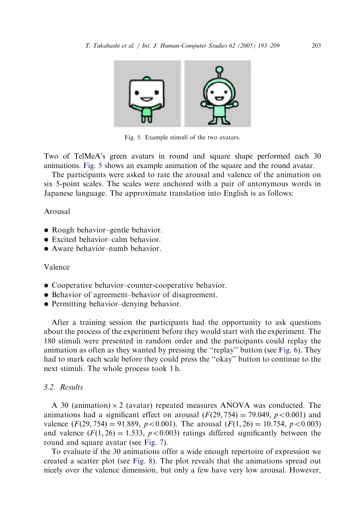

Fig. 5. Example stimuli of the two avatars.

Two of TelMeA's green avatars in round and square shape performed each 30 animations. Fig. 5 shows an example animation of the square and the round avatar.

The participants were asked to rate the arousal and valence of the animation on six 5-point scales. The scales were anchored with a pair of antonymous words in Japanese language. The approximate translation into English is as follows:

## Arousal

- Rough behavior–gentle behavior.
- Excited behavior–calm behavior.
- Aware behavior–numb behavior.

# Valence

- Cooperative behavior–counter-cooperative behavior.
- Behavior of agreement–behavior of disagreement.
- Permitting behavior–denying behavior.

After a training session the participants had the opportunity to ask questions about the process of the experiment before they would start with the ex[perimen](#page-11-0)t. The 180 stimuli were presented in random order and the participants could replay the animation as often as they wanted by pressing the ''replay'' button (see Fig. 6). They had to mark each scale before they could press the ''okay'' button to continue to the next stimuli. The whole process took 1 h.

## 3.2. Results

A 30 (animation)  $\times$  2 (avatar) repeated measures ANOVA was conducted. The animations had a significant effect on arousal  $(F(29, 754) = 79.049, p < 0.001)$  and valence  $(F(29, 754) = 91.889, p < 0.001)$ . The ar[o](#page-12-0)usal  $(F(1, 26) = 10.754, p < 0.003)$ and valence  $(F(1, 26) = 1.533, p < 0.003)$  ratings differed significantly between the round and square avatar ([see](#page-12-0) Fig. 7).

To evaluate if the 30 animations offer a wide enough repertoire of expression we created a scatter plot (see Fig. 8). The plot reveals that the animations spread out nicely over the valence dimension, but only a few have very low arousal. However,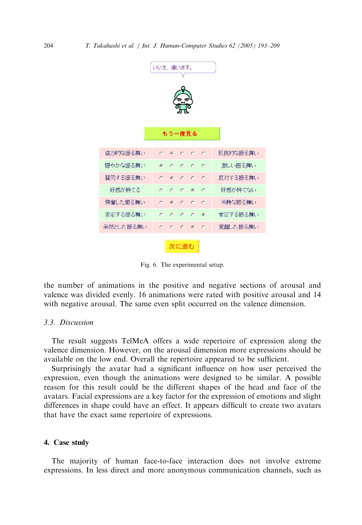| いいえ、違います。 |                |                |            |            |            |          |  |  |  |
|-----------|----------------|----------------|------------|------------|------------|----------|--|--|--|
|           |                |                | もう一度見る     |            |            |          |  |  |  |
| 協力的な振る舞い  | C              | $\sigma$       | C          | $\epsilon$ | $\epsilon$ | 反抗的な振る舞い |  |  |  |
| 穏やかな振る舞い  | $\epsilon$     | $\circ$        | $\epsilon$ | $\circ$    | $\epsilon$ | 激しい振る舞い  |  |  |  |
| 替同する振る舞い  | $\sqrt{2}$     | $\widehat{G}$  | $\sqrt{2}$ | $\subset$  | $\epsilon$ | 反対する振る舞い |  |  |  |
| 好感が持てる    | Č              | $\sim$         | C          | $\sigma$   | $\Gamma$   | 好感が持てない  |  |  |  |
| 興奮した振る舞い  | $\overline{C}$ | $\overline{G}$ | $\sqrt{2}$ | C          | $\sqrt{2}$ | 冷静な振る舞い  |  |  |  |
| 否定する振る舞い  | $\epsilon$     | $\epsilon$     | $\sqrt{2}$ | $\sqrt{2}$ | $\sigma$   | 肯定する振る舞い |  |  |  |
| 呆然とした振る舞い | $\epsilon$     | $\Gamma$       |            | $\epsilon$ | $\epsilon$ | 覚醒した振る舞い |  |  |  |
|           |                |                |            |            |            |          |  |  |  |

次に進む

Fig. 6. The experimental setup.

the number of animations in the positive and negative sections of arousal and valence was divided evenly. 16 animations were rated with positive arousal and 14 with negative arousal. The same even split occurred on the valence dimension.

## 3.3. Discussion

The result suggests TelMeA offers a wide repertoire of expression along the valence dimension. However, on the arousal dimension more expressions should be available on the low end. Overall the repertoire appeared to be sufficient.

Surprisingly the avatar had a significant influence on how user perceived the expression, even though the animations were designed to be similar. A possible reason for this result could be the different shapes of the head and face of the avatars. Facial expressions are a key factor for the expression of emotions and slight differences in shape could have an effect. It appears difficult to create two avatars that have the exact same repertoire of expressions.

# 4. Case study

The majority of human face-to-face interaction does not involve extreme expressions. In less direct and more anonymous communication channels, such as

<span id="page-11-0"></span>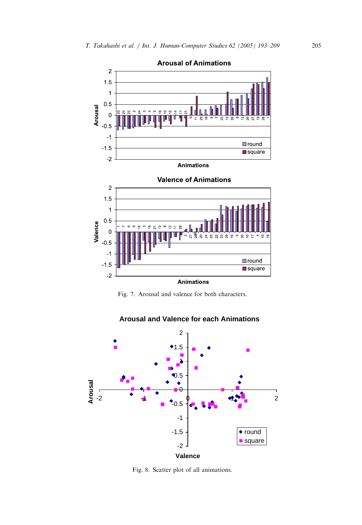<span id="page-12-0"></span>

Fig. 7. Arousal and valence for both characters.



# **Arousal and Valence for each Animations**

Fig. 8. Scatter plot of all animations.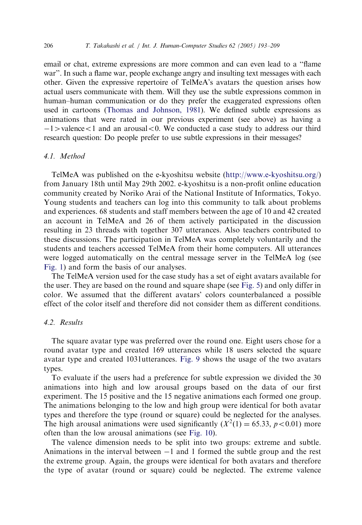email or chat, extreme expressions are more common and can even lead to a ''flame war''. In such a flame war, people exchange angry and insulting text messages with each other. Given the expressive repertoire of TelMeA's avatars the question arises how actual users comm[unicate with them. Will they u](#page-16-0)se the subtle expressions common in human–human communication or do they prefer the exaggerated expressions often used in cartoons (Thomas and Johnson, 1981). We defined subtle expressions as animations that were rated in our previous experiment (see above) as having a  $-1$  valence < 1 and an arousal < 0. We conducted a case study to address our third research question: Do people prefer to use subtle expressions in their messages?

## 4.1. Method

TelMeA was published on the e-kyoshitsu website (http://www.e-kyoshitsu.org/) from January 18th until May 29th 2002. e-kyoshitsu is a non-profit online education community created by Noriko Arai of the National Institute of Informatics, Tokyo. Young students and teachers can log into this community to talk about problems and experiences. 68 students and staff members between the age of 10 and 42 created an account in TelMeA and 26 of them actively participated in the discussion resulting in 23 threads with together 307 utterances. Also teachers contributed to these discussions. The participation in TelMeA was completely voluntarily and the [studen](#page-3-0)ts and teachers accessed TelMeA from their home computers. All utterances were logged automatically on the central message server in the TelMeA log (see Fig. 1) and form the basis of our analyses.

The TelMeA version used for the case study has a set of eight avatars available for the user. They are based on the round and square shape (see Fig. 5) and only differ in color. We assumed that the different avatars' colors counterbalanced a possible effect of the color itself and therefore did not consider them as different conditions.

## 4.2. Results

The square avatar type was preferred [over th](#page-14-0)e round one. Eight users chose for a round avatar type and created 169 utterances while 18 users selected the square avatar type and created 1031utterances. Fig. 9 shows the usage of the two avatars types.

To evaluate if the users had a preference for subtle expression we divided the 30 animations into high and low arousal groups based on the data of our first experiment. The 15 positive and the 15 negative animations each formed one group. The animations belonging to the low and high group were identical for both avatar types and therefore the type (round or squ[are\) cou](#page-14-0)ld be neglected for the analyses. The high arousal animations were used significantly  $(X^2(1) = 65.33, p < 0.01)$  more often than the low arousal animations (see Fig. 10).

The valence dimension needs to be split into two groups: extreme and subtle. Animations in the interval between  $-1$  and 1 formed the subtle group and the rest the extreme group. Again, the groups were identical for both avatars and therefore the type of avatar (round or square) could be neglected. The extreme valence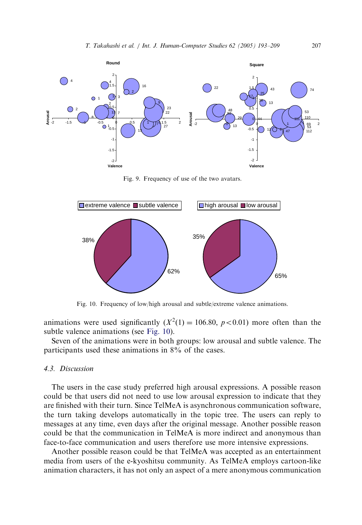<span id="page-14-0"></span>

Fig. 9. Frequency of use of the two avatars.



Fig. 10. Frequency of low/high arousal and subtle/extreme valence animations.

animations were used significantly  $(X^2(1) = 106.80, p < 0.01)$  more often than the subtle valence animations (see Fig. 10).

Seven of the animations were in both groups: low arousal and subtle valence. The participants used these animations in 8% of the cases.

## 4.3. Discussion

The users in the case study preferred high arousal expressions. A possible reason could be that users did not need to use low arousal expression to indicate that they are finished with their turn. Since TelMeA is asynchronous communication software, the turn taking develops automatically in the topic tree. The users can reply to messages at any time, even days after the original message. Another possible reason could be that the communication in TelMeA is more indirect and anonymous than face-to-face communication and users therefore use more intensive expressions.

Another possible reason could be that TelMeA was accepted as an entertainment media from users of the e-kyoshitsu community. As TelMeA employs cartoon-like animation characters, it has not only an aspect of a mere anonymous communication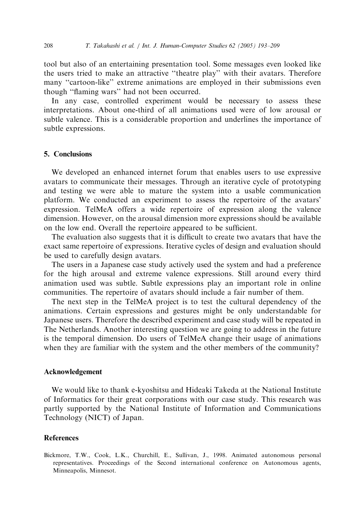<span id="page-15-0"></span>tool but also of an entertaining presentation tool. Some messages even looked like the users tried to make an attractive ''theatre play'' with their avatars. Therefore many ''cartoon-like'' extreme animations are employed in their submissions even though ''flaming wars'' had not been occurred.

In any case, controlled experiment would be necessary to assess these interpretations. About one-third of all animations used were of low arousal or subtle valence. This is a considerable proportion and underlines the importance of subtle expressions.

# 5. Conclusions

We developed an enhanced internet forum that enables users to use expressive avatars to communicate their messages. Through an iterative cycle of prototyping and testing we were able to mature the system into a usable communication platform. We conducted an experiment to assess the repertoire of the avatars' expression. TelMeA offers a wide repertoire of expression along the valence dimension. However, on the arousal dimension more expressions should be available on the low end. Overall the repertoire appeared to be sufficient.

The evaluation also suggests that it is difficult to create two avatars that have the exact same repertoire of expressions. Iterative cycles of design and evaluation should be used to carefully design avatars.

The users in a Japanese case study actively used the system and had a preference for the high arousal and extreme valence expressions. Still around every third animation used was subtle. Subtle expressions play an important role in online communities. The repertoire of avatars should include a fair number of them.

The next step in the TelMeA project is to test the cultural dependency of the animations. Certain expressions and gestures might be only understandable for Japanese users. Therefore the described experiment and case study will be repeated in The Netherlands. Another interesting question we are going to address in the future is the temporal dimension. Do users of TelMeA change their usage of animations when they are familiar with the system and the other members of the community?

## Acknowledgement

We would like to thank e-kyoshitsu and Hideaki Takeda at the National Institute of Informatics for their great corporations with our case study. This research was partly supported by the National Institute of Information and Communications Technology (NICT) of Japan.

# References

Bickmore, T.W., Cook, L.K., Churchill, E., Sullivan, J., 1998. Animated autonomous personal representatives. Proceedings of the Second international conference on Autonomous agents, Minneapolis, Minnesot.